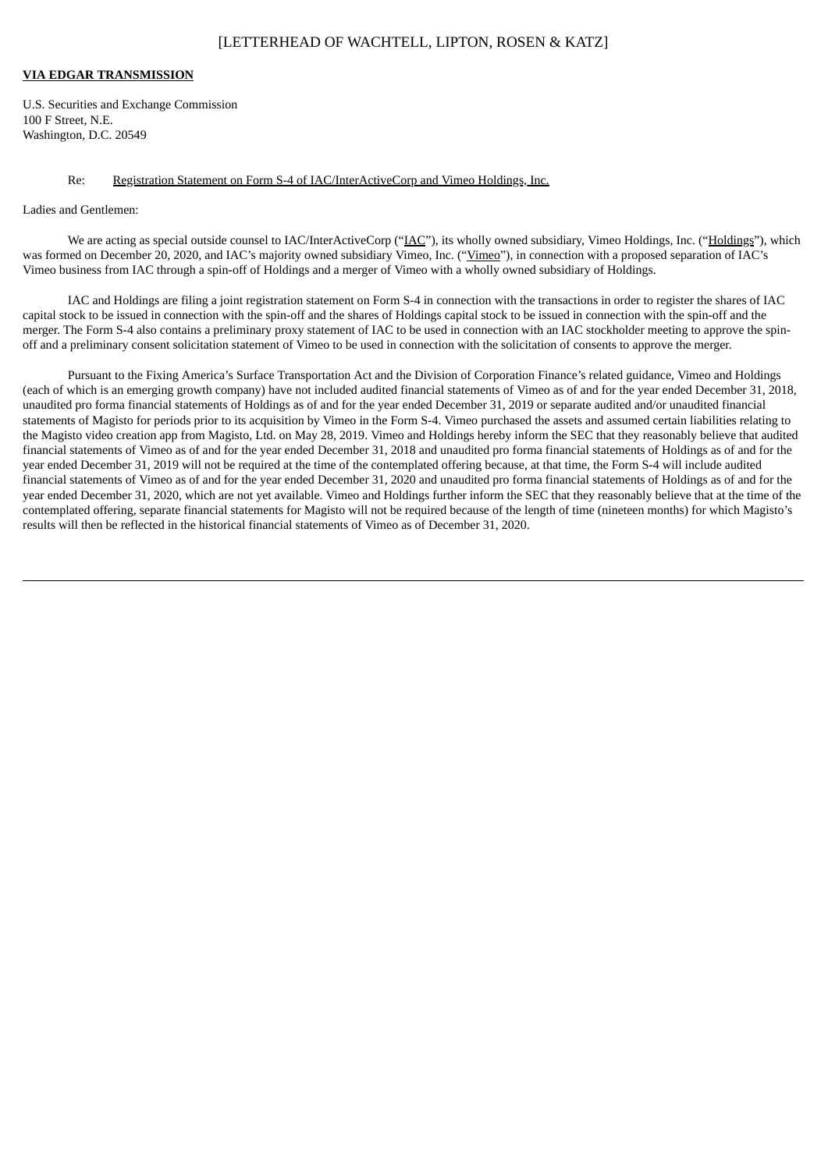## [LETTERHEAD OF WACHTELL, LIPTON, ROSEN & KATZ]

## **VIA EDGAR TRANSMISSION**

U.S. Securities and Exchange Commission 100 F Street, N.E. Washington, D.C. 20549

## Re: Registration Statement on Form S-4 of IAC/InterActiveCorp and Vimeo Holdings, Inc.

## Ladies and Gentlemen:

We are acting as special outside counsel to IAC/InterActiveCorp ("IAC"), its wholly owned subsidiary, Vimeo Holdings, Inc. ("Holdings"), which was formed on December 20, 2020, and IAC's majority owned subsidiary Vimeo, Inc. ("Vimeo"), in connection with a proposed separation of IAC's Vimeo business from IAC through a spin-off of Holdings and a merger of Vimeo with a wholly owned subsidiary of Holdings.

IAC and Holdings are filing a joint registration statement on Form S-4 in connection with the transactions in order to register the shares of IAC capital stock to be issued in connection with the spin-off and the shares of Holdings capital stock to be issued in connection with the spin-off and the merger. The Form S-4 also contains a preliminary proxy statement of IAC to be used in connection with an IAC stockholder meeting to approve the spinoff and a preliminary consent solicitation statement of Vimeo to be used in connection with the solicitation of consents to approve the merger.

Pursuant to the Fixing America's Surface Transportation Act and the Division of Corporation Finance's related guidance, Vimeo and Holdings (each of which is an emerging growth company) have not included audited financial statements of Vimeo as of and for the year ended December 31, 2018, unaudited pro forma financial statements of Holdings as of and for the year ended December 31, 2019 or separate audited and/or unaudited financial statements of Magisto for periods prior to its acquisition by Vimeo in the Form S-4. Vimeo purchased the assets and assumed certain liabilities relating to the Magisto video creation app from Magisto, Ltd. on May 28, 2019. Vimeo and Holdings hereby inform the SEC that they reasonably believe that audited financial statements of Vimeo as of and for the year ended December 31, 2018 and unaudited pro forma financial statements of Holdings as of and for the year ended December 31, 2019 will not be required at the time of the contemplated offering because, at that time, the Form S-4 will include audited financial statements of Vimeo as of and for the year ended December 31, 2020 and unaudited pro forma financial statements of Holdings as of and for the year ended December 31, 2020, which are not yet available. Vimeo and Holdings further inform the SEC that they reasonably believe that at the time of the contemplated offering, separate financial statements for Magisto will not be required because of the length of time (nineteen months) for which Magisto's results will then be reflected in the historical financial statements of Vimeo as of December 31, 2020.